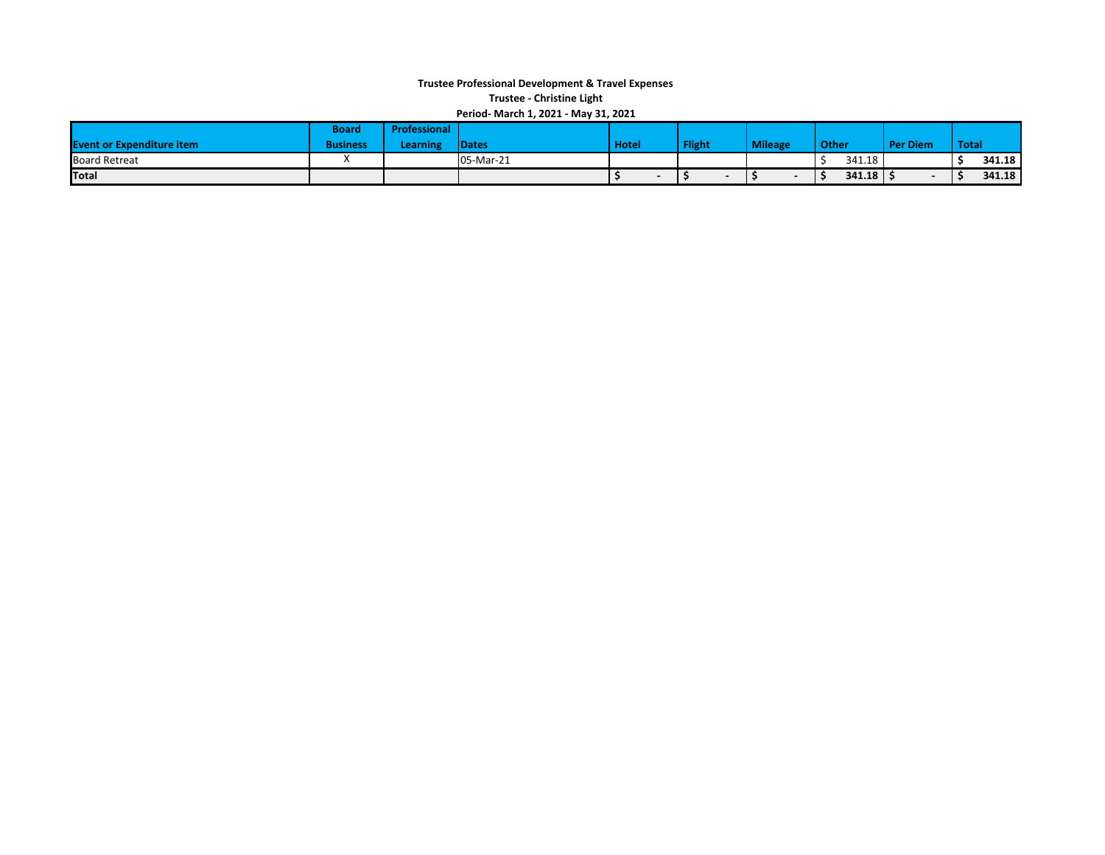## **Trustee Professional Development & Travel Expenses Trustee ‐ Christine Light Period‐ March 1, 2021 ‐ May 31, 2021**

| Feriod-Warth 1, 2021 - Way 31, 2021 |                 |                     |              |              |               |                |        |                 |              |        |
|-------------------------------------|-----------------|---------------------|--------------|--------------|---------------|----------------|--------|-----------------|--------------|--------|
|                                     | Board           | <b>Professional</b> |              |              |               |                |        |                 |              |        |
| <b>Event or Expenditure item</b>    | <b>Business</b> | Learning            | <b>Dates</b> | <b>Hotel</b> | <b>Flight</b> | <b>Mileage</b> | Other  | <b>Per Diem</b> | <b>Total</b> |        |
| <b>Board Retreat</b>                |                 |                     | 05-Mar-21    |              |               |                | 341.18 |                 |              | 341.18 |
| Total                               |                 |                     |              |              |               |                | 341.18 |                 |              | 341.18 |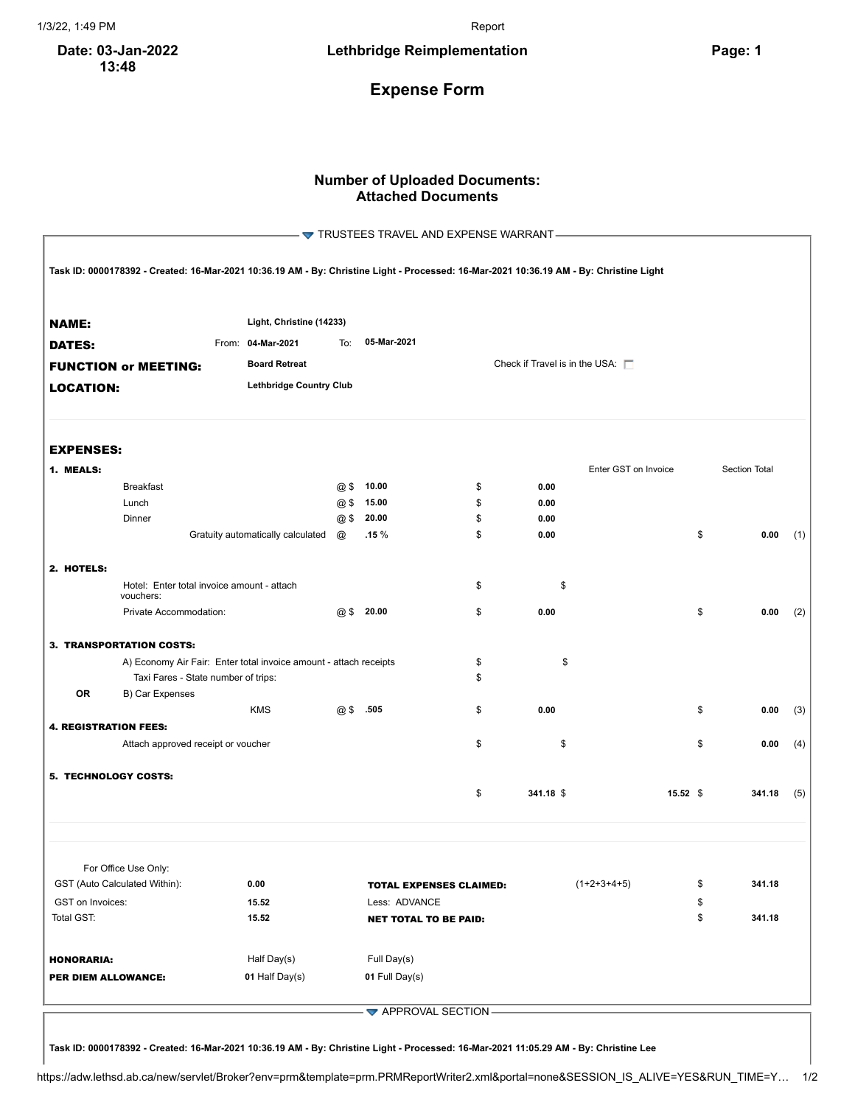**Date: 03-Jan-2022 13:48**

## **Expense Form**

## **Number of Uploaded Documents: Attached Documents**

|                              |                                                                                                                                         |                                                        |     | TRUSTEES TRAVEL AND EXPENSE WARRANT- |                                       |                      |    |               |     |
|------------------------------|-----------------------------------------------------------------------------------------------------------------------------------------|--------------------------------------------------------|-----|--------------------------------------|---------------------------------------|----------------------|----|---------------|-----|
|                              | Task ID: 0000178392 - Created: 16-Mar-2021 10:36.19 AM - By: Christine Light - Processed: 16-Mar-2021 10:36.19 AM - By: Christine Light |                                                        |     |                                      |                                       |                      |    |               |     |
| <b>NAME:</b>                 |                                                                                                                                         | Light, Christine (14233)                               |     |                                      |                                       |                      |    |               |     |
| <b>DATES:</b>                |                                                                                                                                         | From: 04-Mar-2021                                      | To: | 05-Mar-2021                          |                                       |                      |    |               |     |
|                              | <b>FUNCTION or MEETING:</b>                                                                                                             | <b>Board Retreat</b><br><b>Lethbridge Country Club</b> |     |                                      | Check if Travel is in the USA: $\Box$ |                      |    |               |     |
| <b>LOCATION:</b>             |                                                                                                                                         |                                                        |     |                                      |                                       |                      |    |               |     |
|                              |                                                                                                                                         |                                                        |     |                                      |                                       |                      |    |               |     |
| <b>EXPENSES:</b>             |                                                                                                                                         |                                                        |     |                                      |                                       |                      |    |               |     |
| 1. MEALS:                    |                                                                                                                                         |                                                        |     |                                      |                                       | Enter GST on Invoice |    | Section Total |     |
|                              | <b>Breakfast</b>                                                                                                                        |                                                        | @\$ | 10.00                                | \$<br>0.00                            |                      |    |               |     |
|                              | Lunch                                                                                                                                   |                                                        | @5  | 15.00                                | \$<br>0.00                            |                      |    |               |     |
|                              | Dinner                                                                                                                                  |                                                        |     | @ \$ 20.00                           | \$<br>0.00                            |                      |    |               |     |
|                              |                                                                                                                                         | Gratuity automatically calculated                      | @   | .15%                                 | \$<br>0.00                            |                      | \$ | 0.00          | (1) |
|                              |                                                                                                                                         |                                                        |     |                                      |                                       |                      |    |               |     |
| 2. HOTELS:                   | Hotel: Enter total invoice amount - attach<br>vouchers:                                                                                 |                                                        |     |                                      | \$<br>\$                              |                      |    |               |     |
|                              | Private Accommodation:                                                                                                                  |                                                        |     | $@$$ 20.00                           | \$<br>0.00                            |                      | \$ | 0.00          | (2) |
|                              | 3. TRANSPORTATION COSTS:                                                                                                                |                                                        |     |                                      |                                       |                      |    |               |     |
|                              | A) Economy Air Fair: Enter total invoice amount - attach receipts                                                                       |                                                        |     |                                      | \$<br>\$                              |                      |    |               |     |
|                              | Taxi Fares - State number of trips:                                                                                                     |                                                        |     |                                      | \$                                    |                      |    |               |     |
| <b>OR</b>                    | B) Car Expenses                                                                                                                         |                                                        |     |                                      |                                       |                      |    |               |     |
|                              |                                                                                                                                         | <b>KMS</b>                                             | @\$ | .505                                 | \$<br>0.00                            |                      | \$ | 0.00          | (3) |
| <b>4. REGISTRATION FEES:</b> |                                                                                                                                         |                                                        |     |                                      |                                       |                      |    |               |     |
|                              | Attach approved receipt or voucher                                                                                                      |                                                        |     |                                      | \$<br>\$                              |                      | \$ | 0.00          | (4) |
| 5. TECHNOLOGY COSTS:         |                                                                                                                                         |                                                        |     |                                      |                                       |                      |    |               |     |
|                              |                                                                                                                                         |                                                        |     |                                      | \$<br>341.18 \$                       | $15.52$ \$           |    | 341.18        | (5) |
|                              |                                                                                                                                         |                                                        |     |                                      |                                       |                      |    |               |     |
|                              | For Office Use Only:<br>GST (Auto Calculated Within):                                                                                   | 0.00                                                   |     | <b>TOTAL EXPENSES CLAIMED:</b>       |                                       | $(1+2+3+4+5)$        | \$ | 341.18        |     |
| GST on Invoices:             |                                                                                                                                         | 15.52                                                  |     | Less: ADVANCE                        |                                       |                      | \$ |               |     |
| Total GST:                   |                                                                                                                                         | 15.52                                                  |     | <b>NET TOTAL TO BE PAID:</b>         |                                       |                      | \$ | 341.18        |     |
|                              |                                                                                                                                         |                                                        |     |                                      |                                       |                      |    |               |     |
| <b>HONORARIA:</b>            |                                                                                                                                         | Half Day(s)                                            |     | Full Day(s)                          |                                       |                      |    |               |     |
| PER DIEM ALLOWANCE:          |                                                                                                                                         | 01 Half Day(s)                                         |     | 01 Full Day(s)                       |                                       |                      |    |               |     |
|                              |                                                                                                                                         |                                                        |     |                                      |                                       |                      |    |               |     |
|                              |                                                                                                                                         |                                                        |     |                                      |                                       |                      |    |               |     |

 $\blacktriangleright$  APPROVAL SECTION -

Task ID: 0000178392 - Created: 16-Mar-2021 10:36.19 AM - By: Christine Light - Processed: 16-Mar-2021 11:05.29 AM - By: Christine Lee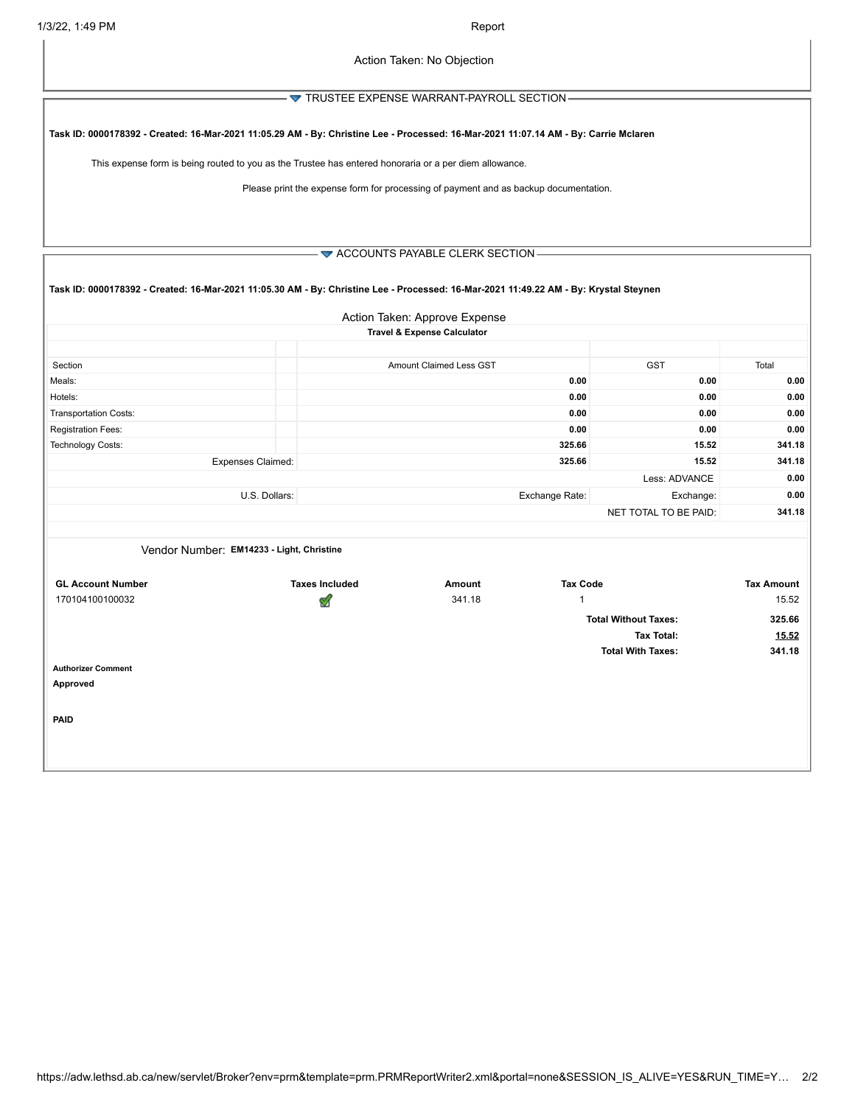– ▼ TRUSTEE EXPENSE WARRANT-PAYROLL SECTION-

Task ID: 0000178392 - Created: 16-Mar-2021 11:05.29 AM - By: Christine Lee - Processed: 16-Mar-2021 11:07.14 AM - By: Carrie Mclaren

This expense form is being routed to you as the Trustee has entered honoraria or a per diem allowance.

Please print the expense form for processing of payment and as backup documentation.

 $-\blacktriangleright$  ACCOUNTS PAYABLE CLERK SECTION-

| Task ID: 0000178392 - Created: 16-Mar-2021 11:05.30 AM - By: Christine Lee - Processed: 16-Mar-2021 11:49.22 AM - By: Krystal Steynen |                       |                                        |                          |                             |                   |
|---------------------------------------------------------------------------------------------------------------------------------------|-----------------------|----------------------------------------|--------------------------|-----------------------------|-------------------|
|                                                                                                                                       |                       | Action Taken: Approve Expense          |                          |                             |                   |
|                                                                                                                                       |                       | <b>Travel &amp; Expense Calculator</b> |                          |                             |                   |
|                                                                                                                                       |                       |                                        |                          |                             |                   |
| Section                                                                                                                               |                       | <b>Amount Claimed Less GST</b>         |                          | <b>GST</b>                  | Total             |
| Meals:                                                                                                                                |                       |                                        | 0.00                     | 0.00                        | 0.00              |
| Hotels:                                                                                                                               |                       |                                        | 0.00                     | 0.00                        | 0.00              |
| <b>Transportation Costs:</b>                                                                                                          |                       |                                        | 0.00                     | 0.00                        | 0.00              |
| Registration Fees:                                                                                                                    |                       |                                        | 0.00                     | 0.00                        | 0.00              |
| Technology Costs:                                                                                                                     |                       |                                        | 325.66                   | 15.52                       | 341.18            |
| <b>Expenses Claimed:</b>                                                                                                              |                       |                                        | 325.66                   | 15.52                       | 341.18            |
|                                                                                                                                       |                       |                                        |                          | Less: ADVANCE               | 0.00              |
| U.S. Dollars:                                                                                                                         |                       |                                        | Exchange Rate:           | Exchange:                   | 0.00              |
|                                                                                                                                       |                       |                                        |                          | NET TOTAL TO BE PAID:       | 341.18            |
|                                                                                                                                       |                       |                                        |                          |                             |                   |
| Vendor Number: EM14233 - Light, Christine                                                                                             |                       |                                        |                          |                             |                   |
| <b>GL Account Number</b>                                                                                                              | <b>Taxes Included</b> | Amount                                 | <b>Tax Code</b>          |                             | <b>Tax Amount</b> |
| 170104100100032                                                                                                                       | V                     | 341.18                                 | $\mathbf 1$              |                             | 15.52             |
|                                                                                                                                       |                       |                                        |                          | <b>Total Without Taxes:</b> | 325.66            |
|                                                                                                                                       |                       |                                        |                          | 15.52                       |                   |
|                                                                                                                                       |                       |                                        | <b>Total With Taxes:</b> | 341.18                      |                   |
| <b>Authorizer Comment</b><br>Approved                                                                                                 |                       |                                        |                          |                             |                   |
|                                                                                                                                       |                       |                                        |                          |                             |                   |

**PAID**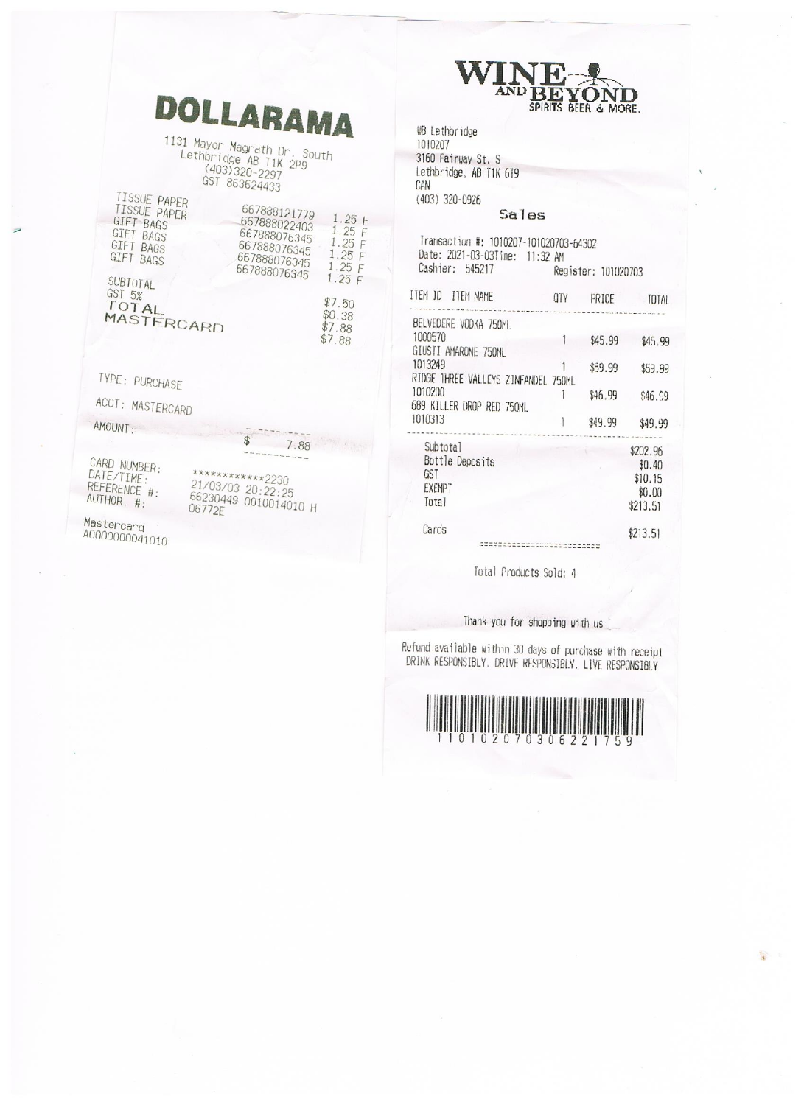|                                                                                       | <b>DOLLARAMA</b>                                                                             |                                                     | WINDER<br>AND BEYON<br>MB Lethbridge<br>1010207                                                      |                     | SPIRITS BEER & MORE. |                                             |
|---------------------------------------------------------------------------------------|----------------------------------------------------------------------------------------------|-----------------------------------------------------|------------------------------------------------------------------------------------------------------|---------------------|----------------------|---------------------------------------------|
|                                                                                       | 1131 Mayor Magrath Dr. South<br>Lethbridge AB T1K 2P9<br>(403) 320-2297                      |                                                     | 3160 Fairway St. S<br>Lethbridge, AB T1K 6T9                                                         |                     |                      |                                             |
| TISSUE PAPER                                                                          | GST 863624433                                                                                |                                                     | CAN<br>(403) 320-0926                                                                                |                     |                      |                                             |
| TISSUE PAPER<br><b>GIFT BAGS</b><br>GIFT BAGS<br><b>GIFT BAGS</b><br><b>GIFT BAGS</b> | 667888121779<br>667888022403<br>667888076345<br>667888076345<br>667888076345<br>667888076345 | 1.25F<br>1.25 F<br>1.25F<br>1.25F<br>1.25F<br>1.25F | Sales<br>Transaction #: 1010207-101020703-64302<br>Date: 2021-03-03Time: 11:32 AM<br>Cashier: 545217 | Register: 101020703 |                      |                                             |
| SUBTOTAL<br>GST 5%<br>TOTAL                                                           |                                                                                              | \$7.50                                              | ITEM ID ITEM NAME                                                                                    | QTY                 | PRICE                |                                             |
| MASTERCARD                                                                            |                                                                                              | \$0.38<br>\$7.88<br>\$7.88                          | BELVEDERE VODKA 750ML<br>1000570<br>GIUSTI AMARONE 750ML                                             |                     | \$45.99              |                                             |
| TYPE: PURCHASE                                                                        |                                                                                              |                                                     | 1013249<br>RIDGE THREE VALLEYS ZINFANDEL 750ML                                                       |                     | \$59.99              |                                             |
| ACCT: MASTERCARD                                                                      |                                                                                              |                                                     | 1010200<br>689 KILLER UROP RED 750ML                                                                 |                     | \$46.99              | \$                                          |
| AMOUNT:                                                                               |                                                                                              |                                                     | 1010313                                                                                              |                     | \$49.99              | \$                                          |
| CARD NUMBER:<br>DATE/TIME:<br>REFERENCE #:<br>AUTHOR. #:                              | 7.88<br>************2230<br>21/03/03 20:22:25<br>66230449 0010014010 H                       |                                                     | Subtotal<br>Bottle Deposits<br>GST<br>EXEMPT<br>Tota <sub>1</sub>                                    |                     |                      | \$20<br>\$<br>\$1<br>$\frac{1}{2}$<br>\$21. |
| Mastercard<br>A0000000041010                                                          | 06772E                                                                                       |                                                     | Cards                                                                                                |                     |                      | \$21                                        |

Total Products Sold: 4

323322

**TOTAL** 

\$45.99

\$59.99

\$46.99

\$49.99 . . . . . . \$202.96  $$0.40$  $$10.15$  $$0.00$  $$213.51$ 

\$213.51

**XZENTIN** 

Thank you for shopping with us

Refund available within 30 days of purchase with receipt<br>DRINK RESPONSIBLY. DRIVE RESPONSIBLY. LIVE RESPONSIBLY